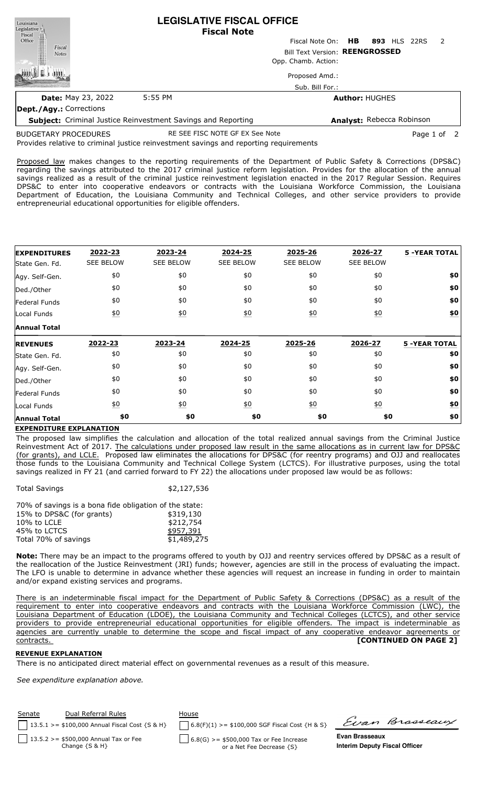| Louisiana                       | <b>LEGISLATIVE FISCAL OFFICE</b><br><b>Fiscal Note</b>              |                           |                           |  |  |              |                |
|---------------------------------|---------------------------------------------------------------------|---------------------------|---------------------------|--|--|--------------|----------------|
| Legislative<br>Fiscal<br>Office |                                                                     | Fiscal Note On: <b>HB</b> |                           |  |  | 893 HLS 22RS | $\overline{2}$ |
| Fiscal<br><b>Notes</b>          | Bill Text Version: REENGROSSED                                      |                           |                           |  |  |              |                |
|                                 |                                                                     | Opp. Chamb. Action:       |                           |  |  |              |                |
|                                 |                                                                     | Proposed Amd.:            |                           |  |  |              |                |
|                                 |                                                                     | Sub. Bill For.:           |                           |  |  |              |                |
| <b>Date: May 23, 2022</b>       | 5:55 PM                                                             | <b>Author: HUGHES</b>     |                           |  |  |              |                |
| <b>Dept./Agy.: Corrections</b>  |                                                                     |                           |                           |  |  |              |                |
|                                 | <b>Subject:</b> Criminal Justice Reinvestment Savings and Reporting |                           | Analyst: Rebecca Robinson |  |  |              |                |

BUDGETARY PROCEDURES

RE SEE FISC NOTE GF EX See Note **Page 1** of 2

Provides relative to criminal justice reinvestment savings and reporting requirements

Proposed law makes changes to the reporting requirements of the Department of Public Safety & Corrections (DPS&C) regarding the savings attributed to the 2017 criminal justice reform legislation. Provides for the allocation of the annual savings realized as a result of the criminal justice reinvestment legislation enacted in the 2017 Regular Session. Requires DPS&C to enter into cooperative endeavors or contracts with the Louisiana Workforce Commission, the Louisiana Department of Education, the Louisiana Community and Technical Colleges, and other service providers to provide entrepreneurial educational opportunities for eligible offenders.

| <b>EXPENDITURES</b> | 2022-23           | 2023-24          | 2024-25          | 2025-26           | 2026-27          | <b>5 -YEAR TOTAL</b> |
|---------------------|-------------------|------------------|------------------|-------------------|------------------|----------------------|
| State Gen. Fd.      | <b>SEE BELOW</b>  | <b>SEE BELOW</b> | <b>SEE BELOW</b> | <b>SEE BELOW</b>  | <b>SEE BELOW</b> |                      |
| Agy. Self-Gen.      | \$0               | \$0              | \$0              | \$0               | \$0              | \$0                  |
| Ded./Other          | \$0               | \$0              | \$0              | \$0               | \$0              | \$0                  |
| Federal Funds       | \$0               | \$0              | \$0              | \$0               | \$0              | \$0                  |
| Local Funds         | $\underline{\$0}$ | 60               | 60               | $\underline{\$0}$ | $\underline{50}$ | \$0                  |
| <b>Annual Total</b> |                   |                  |                  |                   |                  |                      |
| <b>REVENUES</b>     | 2022-23           | 2023-24          | 2024-25          | 2025-26           | 2026-27          | <b>5 -YEAR TOTAL</b> |
| State Gen. Fd.      | \$0               | \$0              | \$0              | \$0               | \$0              | \$0                  |
| Agy. Self-Gen.      | \$0               | \$0              | \$0              | \$0               | \$0              | \$0                  |
| Ded./Other          | \$0               | \$0              | \$0              | \$0               | \$0              | \$0                  |
| Federal Funds       | \$0               | \$0              | \$0              | \$0               | \$0              | \$0                  |
|                     |                   |                  |                  |                   | $\underline{50}$ | \$0                  |
| Local Funds         | $\underline{\$0}$ | $\underline{50}$ | $\underline{50}$ | $\underline{\$0}$ |                  |                      |

## **EXPENDITURE EXPLANATION**

The proposed law simplifies the calculation and allocation of the total realized annual savings from the Criminal Justice Reinvestment Act of 2017. The calculations under proposed law result in the same allocations as in current law for DPS&C (for grants), and LCLE. Proposed law eliminates the allocations for DPS&C (for reentry programs) and OJJ and reallocates those funds to the Louisiana Community and Technical College System (LCTCS). For illustrative purposes, using the total savings realized in FY 21 (and carried forward to FY 22) the allocations under proposed law would be as follows:

| <b>Total Savings</b>                                   | \$2,127,536 |
|--------------------------------------------------------|-------------|
| 70% of savings is a bona fide obligation of the state: |             |
| 15% to DPS&C (for grants)                              | \$319,130   |
| 10% to LCLE                                            | \$212,754   |
| 45% to LCTCS                                           | \$957,391   |
| Total 70% of savings                                   | \$1,489,275 |

**Note:** There may be an impact to the programs offered to youth by OJJ and reentry services offered by DPS&C as a result of the reallocation of the Justice Reinvestment (JRI) funds; however, agencies are still in the process of evaluating the impact. The LFO is unable to determine in advance whether these agencies will request an increase in funding in order to maintain and/or expand existing services and programs.

There is an indeterminable fiscal impact for the Department of Public Safety & Corrections (DPS&C) as a result of the requirement to enter into cooperative endeavors and contracts with the Louisiana Workforce Commission (LWC), the Louisiana Department of Education (LDOE), the Louisiana Community and Technical Colleges (LCTCS), and other service providers to provide entrepreneurial educational opportunities for eligible offenders. The impact is indeterminable as agencies are currently unable to determine the scope and fiscal impact of any cooperative endeavor agreements or contracts. **[CONTINUED ON PAGE 2]**

## **REVENUE EXPLANATION**

There is no anticipated direct material effect on governmental revenues as a result of this measure.

*See expenditure explanation above.*

| Senate | Dual Referral Rules                                           | House                                                                       | Evan Brasseaux                                                |
|--------|---------------------------------------------------------------|-----------------------------------------------------------------------------|---------------------------------------------------------------|
|        | 13.5.1 > = $$100,000$ Annual Fiscal Cost {S & H}              | $6.8(F)(1)$ >= \$100,000 SGF Fiscal Cost {H & S}                            |                                                               |
|        | 13.5.2 > = \$500,000 Annual Tax or Fee<br>Change $\{S \& H\}$ | $\int$ 6.8(G) >= \$500,000 Tax or Fee Increase<br>or a Net Fee Decrease {S} | <b>Evan Brasseaux</b><br><b>Interim Deputy Fiscal Officer</b> |